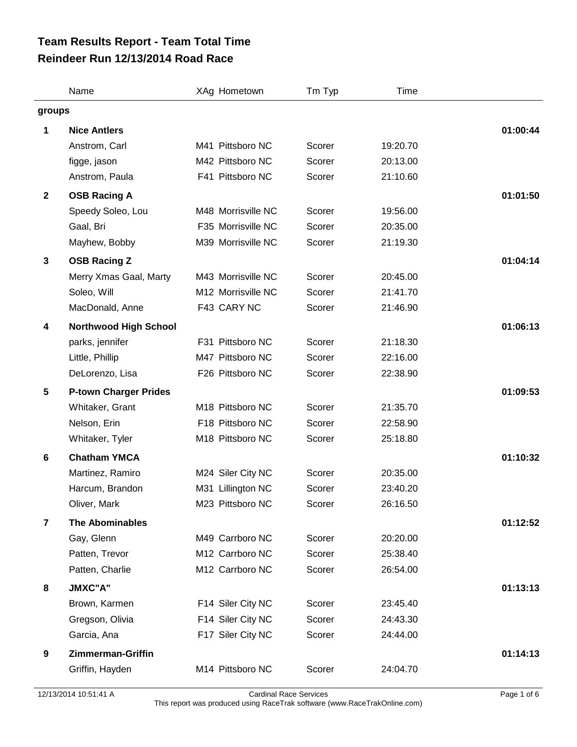## **Reindeer Run 12/13/2014 Road Race Team Results Report - Team Total Time**

|                         | Name                         | XAg Hometown       | Tm Typ | Time     |          |
|-------------------------|------------------------------|--------------------|--------|----------|----------|
| groups                  |                              |                    |        |          |          |
| 1                       | <b>Nice Antlers</b>          |                    |        |          | 01:00:44 |
|                         | Anstrom, Carl                | M41 Pittsboro NC   | Scorer | 19:20.70 |          |
|                         | figge, jason                 | M42 Pittsboro NC   | Scorer | 20:13.00 |          |
|                         | Anstrom, Paula               | F41 Pittsboro NC   | Scorer | 21:10.60 |          |
| $\overline{2}$          | <b>OSB Racing A</b>          |                    |        |          | 01:01:50 |
|                         | Speedy Soleo, Lou            | M48 Morrisville NC | Scorer | 19:56.00 |          |
|                         | Gaal, Bri                    | F35 Morrisville NC | Scorer | 20:35.00 |          |
|                         | Mayhew, Bobby                | M39 Morrisville NC | Scorer | 21:19.30 |          |
| $\mathbf{3}$            | <b>OSB Racing Z</b>          |                    |        |          | 01:04:14 |
|                         | Merry Xmas Gaal, Marty       | M43 Morrisville NC | Scorer | 20:45.00 |          |
|                         | Soleo, Will                  | M12 Morrisville NC | Scorer | 21:41.70 |          |
|                         | MacDonald, Anne              | F43 CARY NC        | Scorer | 21:46.90 |          |
| 4                       | <b>Northwood High School</b> |                    |        |          | 01:06:13 |
|                         | parks, jennifer              | F31 Pittsboro NC   | Scorer | 21:18.30 |          |
|                         | Little, Phillip              | M47 Pittsboro NC   | Scorer | 22:16.00 |          |
|                         | DeLorenzo, Lisa              | F26 Pittsboro NC   | Scorer | 22:38.90 |          |
| $\overline{\mathbf{5}}$ | <b>P-town Charger Prides</b> |                    |        |          | 01:09:53 |
|                         | Whitaker, Grant              | M18 Pittsboro NC   | Scorer | 21:35.70 |          |
|                         | Nelson, Erin                 | F18 Pittsboro NC   | Scorer | 22:58.90 |          |
|                         | Whitaker, Tyler              | M18 Pittsboro NC   | Scorer | 25:18.80 |          |
| 6                       | <b>Chatham YMCA</b>          |                    |        |          | 01:10:32 |
|                         | Martinez, Ramiro             | M24 Siler City NC  | Scorer | 20:35.00 |          |
|                         | Harcum, Brandon              | M31 Lillington NC  | Scorer | 23:40.20 |          |
|                         | Oliver, Mark                 | M23 Pittsboro NC   | Scorer | 26:16.50 |          |
| $\overline{7}$          | <b>The Abominables</b>       |                    |        |          | 01:12:52 |
|                         | Gay, Glenn                   | M49 Carrboro NC    | Scorer | 20:20.00 |          |
|                         | Patten, Trevor               | M12 Carrboro NC    | Scorer | 25:38.40 |          |
|                         | Patten, Charlie              | M12 Carrboro NC    | Scorer | 26:54.00 |          |
| 8                       | <b>JMXC"A"</b>               |                    |        |          | 01:13:13 |
|                         | Brown, Karmen                | F14 Siler City NC  | Scorer | 23:45.40 |          |
|                         | Gregson, Olivia              | F14 Siler City NC  | Scorer | 24:43.30 |          |
|                         | Garcia, Ana                  | F17 Siler City NC  | Scorer | 24:44.00 |          |
| 9                       | <b>Zimmerman-Griffin</b>     |                    |        |          | 01:14:13 |
|                         | Griffin, Hayden              | M14 Pittsboro NC   | Scorer | 24:04.70 |          |
|                         |                              |                    |        |          |          |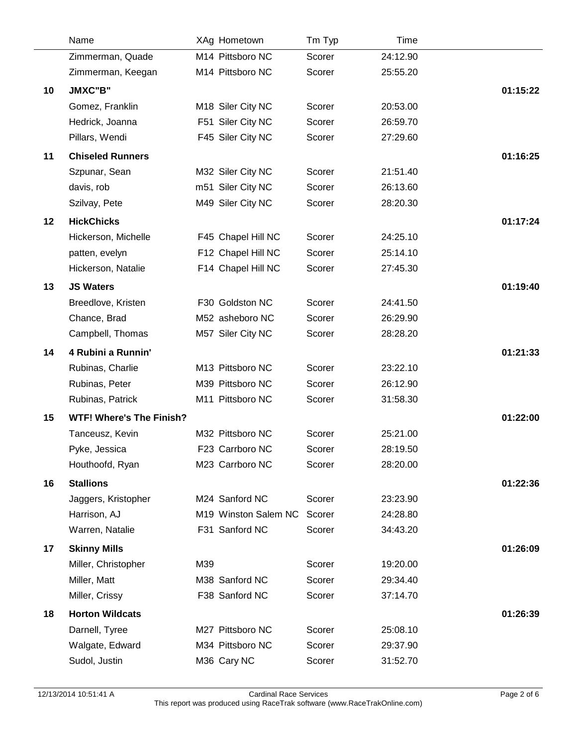|    | Name                            |     | XAg Hometown         | Tm Typ | <b>Time</b> |          |
|----|---------------------------------|-----|----------------------|--------|-------------|----------|
|    | Zimmerman, Quade                |     | M14 Pittsboro NC     | Scorer | 24:12.90    |          |
|    | Zimmerman, Keegan               |     | M14 Pittsboro NC     | Scorer | 25:55.20    |          |
| 10 | JMXC"B"                         |     |                      |        |             | 01:15:22 |
|    | Gomez, Franklin                 |     | M18 Siler City NC    | Scorer | 20:53.00    |          |
|    | Hedrick, Joanna                 |     | F51 Siler City NC    | Scorer | 26:59.70    |          |
|    | Pillars, Wendi                  |     | F45 Siler City NC    | Scorer | 27:29.60    |          |
| 11 | <b>Chiseled Runners</b>         |     |                      |        |             | 01:16:25 |
|    | Szpunar, Sean                   |     | M32 Siler City NC    | Scorer | 21:51.40    |          |
|    | davis, rob                      |     | m51 Siler City NC    | Scorer | 26:13.60    |          |
|    | Szilvay, Pete                   |     | M49 Siler City NC    | Scorer | 28:20.30    |          |
| 12 | <b>HickChicks</b>               |     |                      |        |             | 01:17:24 |
|    | Hickerson, Michelle             |     | F45 Chapel Hill NC   | Scorer | 24:25.10    |          |
|    | patten, evelyn                  |     | F12 Chapel Hill NC   | Scorer | 25:14.10    |          |
|    | Hickerson, Natalie              |     | F14 Chapel Hill NC   | Scorer | 27:45.30    |          |
| 13 | <b>JS Waters</b>                |     |                      |        |             | 01:19:40 |
|    | Breedlove, Kristen              |     | F30 Goldston NC      | Scorer | 24:41.50    |          |
|    | Chance, Brad                    |     | M52 asheboro NC      | Scorer | 26:29.90    |          |
|    | Campbell, Thomas                |     | M57 Siler City NC    | Scorer | 28:28.20    |          |
| 14 | 4 Rubini a Runnin'              |     |                      |        |             | 01:21:33 |
|    | Rubinas, Charlie                |     | M13 Pittsboro NC     | Scorer | 23:22.10    |          |
|    | Rubinas, Peter                  |     | M39 Pittsboro NC     | Scorer | 26:12.90    |          |
|    | Rubinas, Patrick                |     | M11 Pittsboro NC     | Scorer | 31:58.30    |          |
| 15 | <b>WTF! Where's The Finish?</b> |     |                      |        |             | 01:22:00 |
|    | Tanceusz, Kevin                 |     | M32 Pittsboro NC     | Scorer | 25:21.00    |          |
|    | Pyke, Jessica                   |     | F23 Carrboro NC      | Scorer | 28:19.50    |          |
|    | Houthoofd, Ryan                 |     | M23 Carrboro NC      | Scorer | 28:20.00    |          |
| 16 | <b>Stallions</b>                |     |                      |        |             | 01:22:36 |
|    | Jaggers, Kristopher             |     | M24 Sanford NC       | Scorer | 23:23.90    |          |
|    | Harrison, AJ                    |     | M19 Winston Salem NC | Scorer | 24:28.80    |          |
|    | Warren, Natalie                 |     | F31 Sanford NC       | Scorer | 34:43.20    |          |
| 17 | <b>Skinny Mills</b>             |     |                      |        |             | 01:26:09 |
|    | Miller, Christopher             | M39 |                      | Scorer | 19:20.00    |          |
|    | Miller, Matt                    |     | M38 Sanford NC       | Scorer | 29:34.40    |          |
|    | Miller, Crissy                  |     | F38 Sanford NC       | Scorer | 37:14.70    |          |
| 18 | <b>Horton Wildcats</b>          |     |                      |        |             | 01:26:39 |
|    | Darnell, Tyree                  |     | M27 Pittsboro NC     | Scorer | 25:08.10    |          |
|    | Walgate, Edward                 |     | M34 Pittsboro NC     | Scorer | 29:37.90    |          |
|    | Sudol, Justin                   |     | M36 Cary NC          | Scorer | 31:52.70    |          |
|    |                                 |     |                      |        |             |          |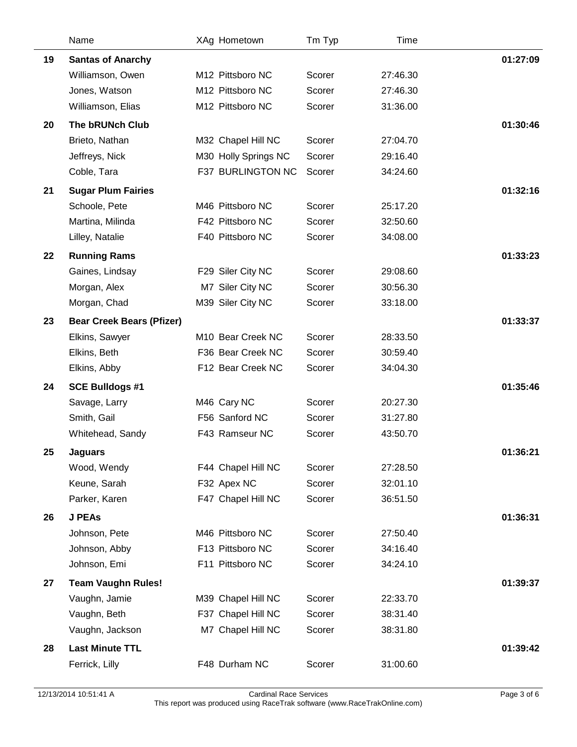|    | Name                             | XAg Hometown         | Tm Typ | Time     |          |
|----|----------------------------------|----------------------|--------|----------|----------|
| 19 | <b>Santas of Anarchy</b>         |                      |        |          | 01:27:09 |
|    | Williamson, Owen                 | M12 Pittsboro NC     | Scorer | 27:46.30 |          |
|    | Jones, Watson                    | M12 Pittsboro NC     | Scorer | 27:46.30 |          |
|    | Williamson, Elias                | M12 Pittsboro NC     | Scorer | 31:36.00 |          |
| 20 | <b>The bRUNch Club</b>           |                      |        |          | 01:30:46 |
|    | Brieto, Nathan                   | M32 Chapel Hill NC   | Scorer | 27:04.70 |          |
|    | Jeffreys, Nick                   | M30 Holly Springs NC | Scorer | 29:16.40 |          |
|    | Coble, Tara                      | F37 BURLINGTON NC    | Scorer | 34:24.60 |          |
| 21 | <b>Sugar Plum Fairies</b>        |                      |        |          | 01:32:16 |
|    | Schoole, Pete                    | M46 Pittsboro NC     | Scorer | 25:17.20 |          |
|    | Martina, Milinda                 | F42 Pittsboro NC     | Scorer | 32:50.60 |          |
|    | Lilley, Natalie                  | F40 Pittsboro NC     | Scorer | 34:08.00 |          |
| 22 | <b>Running Rams</b>              |                      |        |          | 01:33:23 |
|    | Gaines, Lindsay                  | F29 Siler City NC    | Scorer | 29:08.60 |          |
|    | Morgan, Alex                     | M7 Siler City NC     | Scorer | 30:56.30 |          |
|    | Morgan, Chad                     | M39 Siler City NC    | Scorer | 33:18.00 |          |
| 23 | <b>Bear Creek Bears (Pfizer)</b> |                      |        |          | 01:33:37 |
|    | Elkins, Sawyer                   | M10 Bear Creek NC    | Scorer | 28:33.50 |          |
|    | Elkins, Beth                     | F36 Bear Creek NC    | Scorer | 30:59.40 |          |
|    | Elkins, Abby                     | F12 Bear Creek NC    | Scorer | 34:04.30 |          |
| 24 | <b>SCE Bulldogs #1</b>           |                      |        |          | 01:35:46 |
|    | Savage, Larry                    | M46 Cary NC          | Scorer | 20:27.30 |          |
|    | Smith, Gail                      | F56 Sanford NC       | Scorer | 31:27.80 |          |
|    | Whitehead, Sandy                 | F43 Ramseur NC       | Scorer | 43:50.70 |          |
| 25 | <b>Jaguars</b>                   |                      |        |          | 01:36:21 |
|    | Wood, Wendy                      | F44 Chapel Hill NC   | Scorer | 27:28.50 |          |
|    | Keune, Sarah                     | F32 Apex NC          | Scorer | 32:01.10 |          |
|    | Parker, Karen                    | F47 Chapel Hill NC   | Scorer | 36:51.50 |          |
| 26 | <b>J PEAs</b>                    |                      |        |          | 01:36:31 |
|    | Johnson, Pete                    | M46 Pittsboro NC     | Scorer | 27:50.40 |          |
|    | Johnson, Abby                    | F13 Pittsboro NC     | Scorer | 34:16.40 |          |
|    | Johnson, Emi                     | F11 Pittsboro NC     | Scorer | 34:24.10 |          |
| 27 | <b>Team Vaughn Rules!</b>        |                      |        |          | 01:39:37 |
|    | Vaughn, Jamie                    | M39 Chapel Hill NC   | Scorer | 22:33.70 |          |
|    | Vaughn, Beth                     | F37 Chapel Hill NC   | Scorer | 38:31.40 |          |
|    | Vaughn, Jackson                  | M7 Chapel Hill NC    | Scorer | 38:31.80 |          |
| 28 | <b>Last Minute TTL</b>           |                      |        |          | 01:39:42 |
|    | Ferrick, Lilly                   | F48 Durham NC        | Scorer | 31:00.60 |          |
|    |                                  |                      |        |          |          |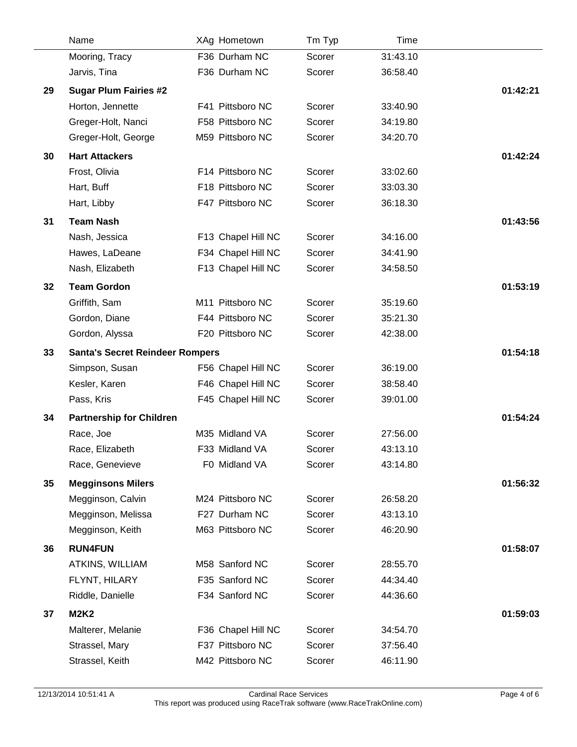|    | Name                                   | XAg Hometown       | Tm Typ | Time     |          |
|----|----------------------------------------|--------------------|--------|----------|----------|
|    | Mooring, Tracy                         | F36 Durham NC      | Scorer | 31:43.10 |          |
|    | Jarvis, Tina                           | F36 Durham NC      | Scorer | 36:58.40 |          |
| 29 | <b>Sugar Plum Fairies #2</b>           |                    |        |          | 01:42:21 |
|    | Horton, Jennette                       | F41 Pittsboro NC   | Scorer | 33:40.90 |          |
|    | Greger-Holt, Nanci                     | F58 Pittsboro NC   | Scorer | 34:19.80 |          |
|    | Greger-Holt, George                    | M59 Pittsboro NC   | Scorer | 34:20.70 |          |
| 30 | <b>Hart Attackers</b>                  |                    |        |          | 01:42:24 |
|    | Frost, Olivia                          | F14 Pittsboro NC   | Scorer | 33:02.60 |          |
|    | Hart, Buff                             | F18 Pittsboro NC   | Scorer | 33:03.30 |          |
|    | Hart, Libby                            | F47 Pittsboro NC   | Scorer | 36:18.30 |          |
| 31 | <b>Team Nash</b>                       |                    |        |          | 01:43:56 |
|    | Nash, Jessica                          | F13 Chapel Hill NC | Scorer | 34:16.00 |          |
|    | Hawes, LaDeane                         | F34 Chapel Hill NC | Scorer | 34:41.90 |          |
|    | Nash, Elizabeth                        | F13 Chapel Hill NC | Scorer | 34:58.50 |          |
| 32 | <b>Team Gordon</b>                     |                    |        |          | 01:53:19 |
|    | Griffith, Sam                          | M11 Pittsboro NC   | Scorer | 35:19.60 |          |
|    | Gordon, Diane                          | F44 Pittsboro NC   | Scorer | 35:21.30 |          |
|    | Gordon, Alyssa                         | F20 Pittsboro NC   | Scorer | 42:38.00 |          |
| 33 | <b>Santa's Secret Reindeer Rompers</b> |                    |        |          | 01:54:18 |
|    | Simpson, Susan                         | F56 Chapel Hill NC | Scorer | 36:19.00 |          |
|    | Kesler, Karen                          | F46 Chapel Hill NC | Scorer | 38:58.40 |          |
|    | Pass, Kris                             | F45 Chapel Hill NC | Scorer | 39:01.00 |          |
| 34 | <b>Partnership for Children</b>        |                    |        |          | 01:54:24 |
|    | Race, Joe                              | M35 Midland VA     | Scorer | 27:56.00 |          |
|    | Race, Elizabeth                        | F33 Midland VA     | Scorer | 43:13.10 |          |
|    | Race, Genevieve                        | F0 Midland VA      | Scorer | 43:14.80 |          |
| 35 | <b>Megginsons Milers</b>               |                    |        |          | 01:56:32 |
|    | Megginson, Calvin                      | M24 Pittsboro NC   | Scorer | 26:58.20 |          |
|    | Megginson, Melissa                     | F27 Durham NC      | Scorer | 43:13.10 |          |
|    | Megginson, Keith                       | M63 Pittsboro NC   | Scorer | 46:20.90 |          |
| 36 | <b>RUN4FUN</b>                         |                    |        |          | 01:58:07 |
|    | ATKINS, WILLIAM                        | M58 Sanford NC     | Scorer | 28:55.70 |          |
|    | FLYNT, HILARY                          | F35 Sanford NC     | Scorer | 44:34.40 |          |
|    | Riddle, Danielle                       | F34 Sanford NC     | Scorer | 44:36.60 |          |
| 37 | <b>M2K2</b>                            |                    |        |          | 01:59:03 |
|    | Malterer, Melanie                      | F36 Chapel Hill NC | Scorer | 34:54.70 |          |
|    | Strassel, Mary                         | F37 Pittsboro NC   | Scorer | 37:56.40 |          |
|    | Strassel, Keith                        | M42 Pittsboro NC   | Scorer | 46:11.90 |          |
|    |                                        |                    |        |          |          |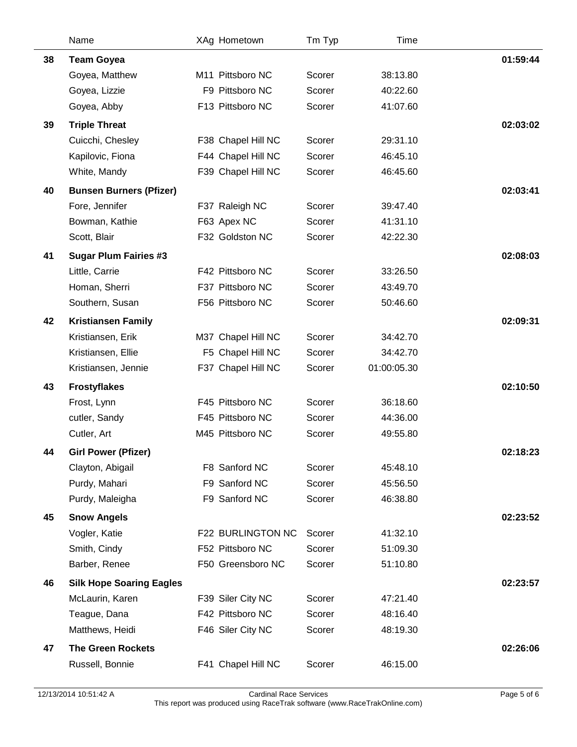|    | Name                            | XAg Hometown                          | Tm Typ           | Time                 |          |
|----|---------------------------------|---------------------------------------|------------------|----------------------|----------|
| 38 | <b>Team Goyea</b>               |                                       |                  |                      | 01:59:44 |
|    | Goyea, Matthew                  | M11 Pittsboro NC                      | Scorer           | 38:13.80             |          |
|    | Goyea, Lizzie                   | F9 Pittsboro NC                       | Scorer           | 40:22.60             |          |
|    | Goyea, Abby                     | F13 Pittsboro NC                      | Scorer           | 41:07.60             |          |
| 39 | <b>Triple Threat</b>            |                                       |                  |                      | 02:03:02 |
|    | Cuicchi, Chesley                | F38 Chapel Hill NC                    | Scorer           | 29:31.10             |          |
|    | Kapilovic, Fiona                | F44 Chapel Hill NC                    | Scorer           | 46:45.10             |          |
|    | White, Mandy                    | F39 Chapel Hill NC                    | Scorer           | 46:45.60             |          |
| 40 | <b>Bunsen Burners (Pfizer)</b>  |                                       |                  |                      | 02:03:41 |
|    | Fore, Jennifer                  | F37 Raleigh NC                        | Scorer           | 39:47.40             |          |
|    | Bowman, Kathie                  | F63 Apex NC                           | Scorer           | 41:31.10             |          |
|    | Scott, Blair                    | F32 Goldston NC                       | Scorer           | 42:22.30             |          |
| 41 | <b>Sugar Plum Fairies #3</b>    |                                       |                  |                      | 02:08:03 |
|    | Little, Carrie                  | F42 Pittsboro NC                      | Scorer           | 33:26.50             |          |
|    | Homan, Sherri                   | F37 Pittsboro NC                      | Scorer           | 43:49.70             |          |
|    | Southern, Susan                 | F56 Pittsboro NC                      | Scorer           | 50:46.60             |          |
| 42 | <b>Kristiansen Family</b>       |                                       |                  |                      | 02:09:31 |
|    | Kristiansen, Erik               | M37 Chapel Hill NC                    | Scorer           | 34:42.70             |          |
|    | Kristiansen, Ellie              | F5 Chapel Hill NC                     | Scorer           | 34:42.70             |          |
|    | Kristiansen, Jennie             | F37 Chapel Hill NC                    | Scorer           | 01:00:05.30          |          |
| 43 | <b>Frostyflakes</b>             |                                       |                  |                      | 02:10:50 |
|    | Frost, Lynn                     | F45 Pittsboro NC                      | Scorer           | 36:18.60             |          |
|    | cutler, Sandy                   | F45 Pittsboro NC                      | Scorer           | 44:36.00             |          |
|    | Cutler, Art                     | M45 Pittsboro NC                      | Scorer           | 49:55.80             |          |
| 44 | <b>Girl Power (Pfizer)</b>      |                                       |                  |                      | 02:18:23 |
|    | Clayton, Abigail                | F8 Sanford NC                         | Scorer           | 45:48.10             |          |
|    | Purdy, Mahari                   | F9 Sanford NC                         | Scorer           | 45:56.50             |          |
|    | Purdy, Maleigha                 | F9 Sanford NC                         | Scorer           | 46:38.80             |          |
| 45 | <b>Snow Angels</b>              |                                       |                  |                      | 02:23:52 |
|    | Vogler, Katie                   | F22 BURLINGTON NC                     | Scorer           | 41:32.10             |          |
|    | Smith, Cindy                    | F52 Pittsboro NC                      | Scorer           | 51:09.30             |          |
|    | Barber, Renee                   | F50 Greensboro NC                     | Scorer           | 51:10.80             |          |
|    |                                 |                                       |                  |                      |          |
| 46 | <b>Silk Hope Soaring Eagles</b> |                                       |                  |                      | 02:23:57 |
|    | McLaurin, Karen<br>Teague, Dana | F39 Siler City NC<br>F42 Pittsboro NC | Scorer<br>Scorer | 47:21.40<br>48:16.40 |          |
|    | Matthews, Heidi                 | F46 Siler City NC                     | Scorer           | 48:19.30             |          |
|    |                                 |                                       |                  |                      |          |
| 47 | <b>The Green Rockets</b>        |                                       |                  |                      | 02:26:06 |
|    | Russell, Bonnie                 | F41 Chapel Hill NC                    | Scorer           | 46:15.00             |          |